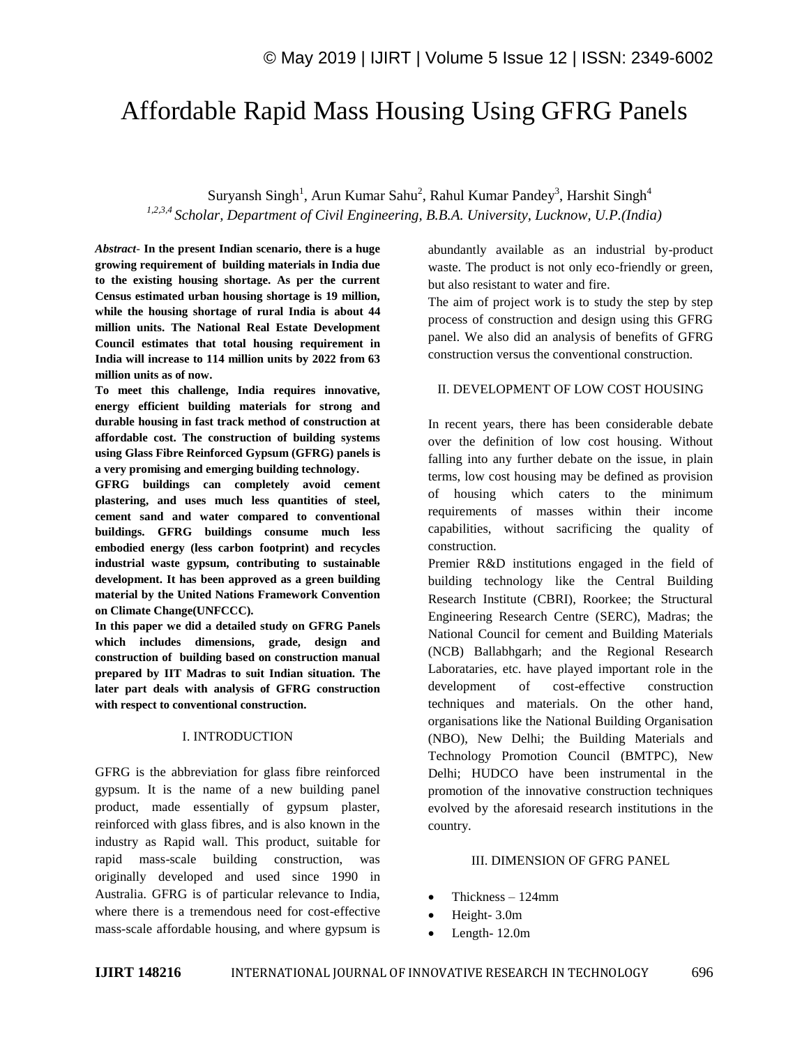# Affordable Rapid Mass Housing Using GFRG Panels

Suryansh Singh<sup>1</sup>, Arun Kumar Sahu<sup>2</sup>, Rahul Kumar Pandey<sup>3</sup>, Harshit Singh<sup>4</sup> *1,2,3,4 Scholar, Department of Civil Engineering, B.B.A. University, Lucknow, U.P.(India)*

*Abstract*- **In the present Indian scenario, there is a huge growing requirement of building materials in India due to the existing housing shortage. As per the current Census estimated urban housing shortage is 19 million, while the housing shortage of rural India is about 44 million units. The National Real Estate Development Council estimates that total housing requirement in India will increase to 114 million units by 2022 from 63 million units as of now.**

**To meet this challenge, India requires innovative, energy efficient building materials for strong and durable housing in fast track method of construction at affordable cost. The construction of building systems using Glass Fibre Reinforced Gypsum (GFRG) panels is a very promising and emerging building technology.**

**GFRG buildings can completely avoid cement plastering, and uses much less quantities of steel, cement sand and water compared to conventional buildings. GFRG buildings consume much less embodied energy (less carbon footprint) and recycles industrial waste gypsum, contributing to sustainable development. It has been approved as a green building material by the United Nations Framework Convention on Climate Change(UNFCCC).**

**In this paper we did a detailed study on GFRG Panels which includes dimensions, grade, design and construction of building based on construction manual prepared by IIT Madras to suit Indian situation. The later part deals with analysis of GFRG construction with respect to conventional construction.**

## I. INTRODUCTION

GFRG is the abbreviation for glass fibre reinforced gypsum. It is the name of a new building panel product, made essentially of gypsum plaster, reinforced with glass fibres, and is also known in the industry as Rapid wall. This product, suitable for rapid mass-scale building construction, was originally developed and used since 1990 in Australia. GFRG is of particular relevance to India, where there is a tremendous need for cost-effective mass-scale affordable housing, and where gypsum is

abundantly available as an industrial by-product waste. The product is not only eco-friendly or green, but also resistant to water and fire.

The aim of project work is to study the step by step process of construction and design using this GFRG panel. We also did an analysis of benefits of GFRG construction versus the conventional construction.

## II. DEVELOPMENT OF LOW COST HOUSING

In recent years, there has been considerable debate over the definition of low cost housing. Without falling into any further debate on the issue, in plain terms, low cost housing may be defined as provision of housing which caters to the minimum requirements of masses within their income capabilities, without sacrificing the quality of construction.

Premier R&D institutions engaged in the field of building technology like the Central Building Research Institute (CBRI), Roorkee; the Structural Engineering Research Centre (SERC), Madras; the National Council for cement and Building Materials (NCB) Ballabhgarh; and the Regional Research Laborataries, etc. have played important role in the development of cost-effective construction techniques and materials. On the other hand, organisations like the National Building Organisation (NBO), New Delhi; the Building Materials and Technology Promotion Council (BMTPC), New Delhi; HUDCO have been instrumental in the promotion of the innovative construction techniques evolved by the aforesaid research institutions in the country.

#### III. DIMENSION OF GFRG PANEL

- Thickness 124mm
- Height- 3.0m
- Length- 12.0m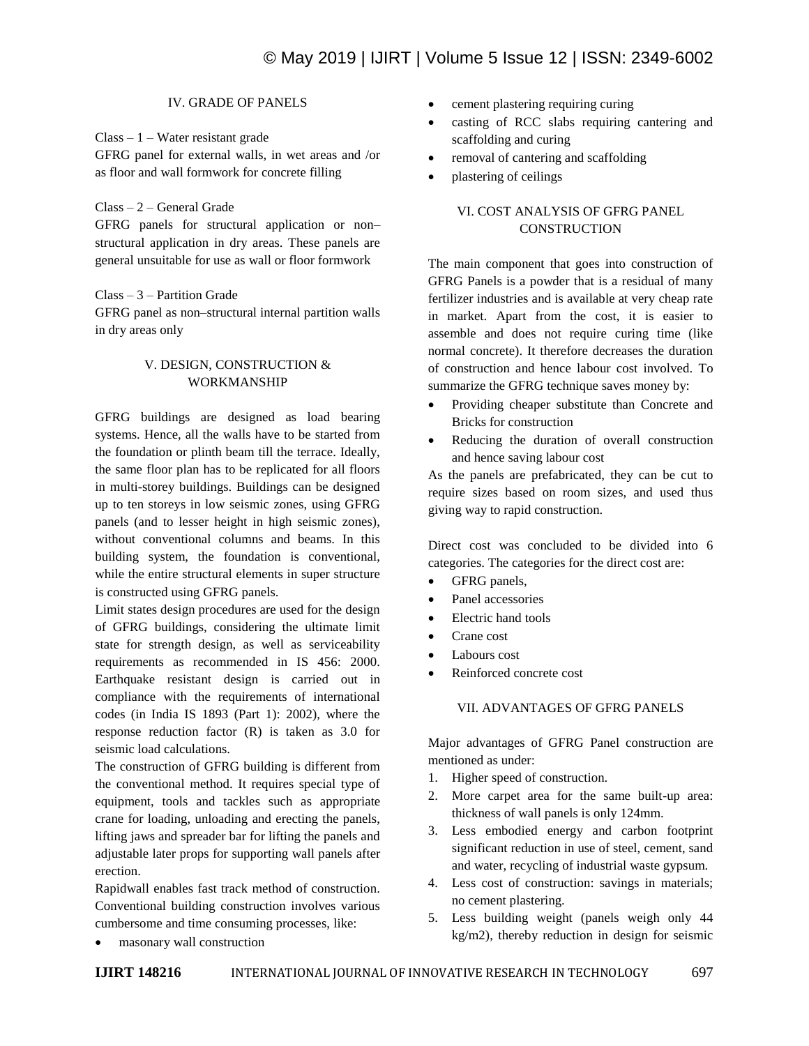# IV. GRADE OF PANELS

Class – 1 – Water resistant grade

GFRG panel for external walls, in wet areas and /or as floor and wall formwork for concrete filling

# Class – 2 – General Grade

GFRG panels for structural application or non– structural application in dry areas. These panels are general unsuitable for use as wall or floor formwork

# Class – 3 – Partition Grade

GFRG panel as non–structural internal partition walls in dry areas only

# V. DESIGN, CONSTRUCTION & WORKMANSHIP

GFRG buildings are designed as load bearing systems. Hence, all the walls have to be started from the foundation or plinth beam till the terrace. Ideally, the same floor plan has to be replicated for all floors in multi-storey buildings. Buildings can be designed up to ten storeys in low seismic zones, using GFRG panels (and to lesser height in high seismic zones), without conventional columns and beams. In this building system, the foundation is conventional, while the entire structural elements in super structure is constructed using GFRG panels.

Limit states design procedures are used for the design of GFRG buildings, considering the ultimate limit state for strength design, as well as serviceability requirements as recommended in IS 456: 2000. Earthquake resistant design is carried out in compliance with the requirements of international codes (in India IS 1893 (Part 1): 2002), where the response reduction factor (R) is taken as 3.0 for seismic load calculations.

The construction of GFRG building is different from the conventional method. It requires special type of equipment, tools and tackles such as appropriate crane for loading, unloading and erecting the panels, lifting jaws and spreader bar for lifting the panels and adjustable later props for supporting wall panels after erection.

Rapidwall enables fast track method of construction. Conventional building construction involves various cumbersome and time consuming processes, like:

- cement plastering requiring curing
- casting of RCC slabs requiring cantering and scaffolding and curing
- removal of cantering and scaffolding
- plastering of ceilings

# VI. COST ANALYSIS OF GFRG PANEL **CONSTRUCTION**

The main component that goes into construction of GFRG Panels is a powder that is a residual of many fertilizer industries and is available at very cheap rate in market. Apart from the cost, it is easier to assemble and does not require curing time (like normal concrete). It therefore decreases the duration of construction and hence labour cost involved. To summarize the GFRG technique saves money by:

- Providing cheaper substitute than Concrete and Bricks for construction
- Reducing the duration of overall construction and hence saving labour cost

As the panels are prefabricated, they can be cut to require sizes based on room sizes, and used thus giving way to rapid construction.

Direct cost was concluded to be divided into 6 categories. The categories for the direct cost are:

- GFRG panels,
- Panel accessories
- Electric hand tools
- Crane cost
- Labours cost
- Reinforced concrete cost

## VII. ADVANTAGES OF GFRG PANELS

Major advantages of GFRG Panel construction are mentioned as under:

- 1. Higher speed of construction.
- 2. More carpet area for the same built-up area: thickness of wall panels is only 124mm.
- 3. Less embodied energy and carbon footprint significant reduction in use of steel, cement, sand and water, recycling of industrial waste gypsum.
- 4. Less cost of construction: savings in materials; no cement plastering.
- 5. Less building weight (panels weigh only 44 kg/m2), thereby reduction in design for seismic

masonary wall construction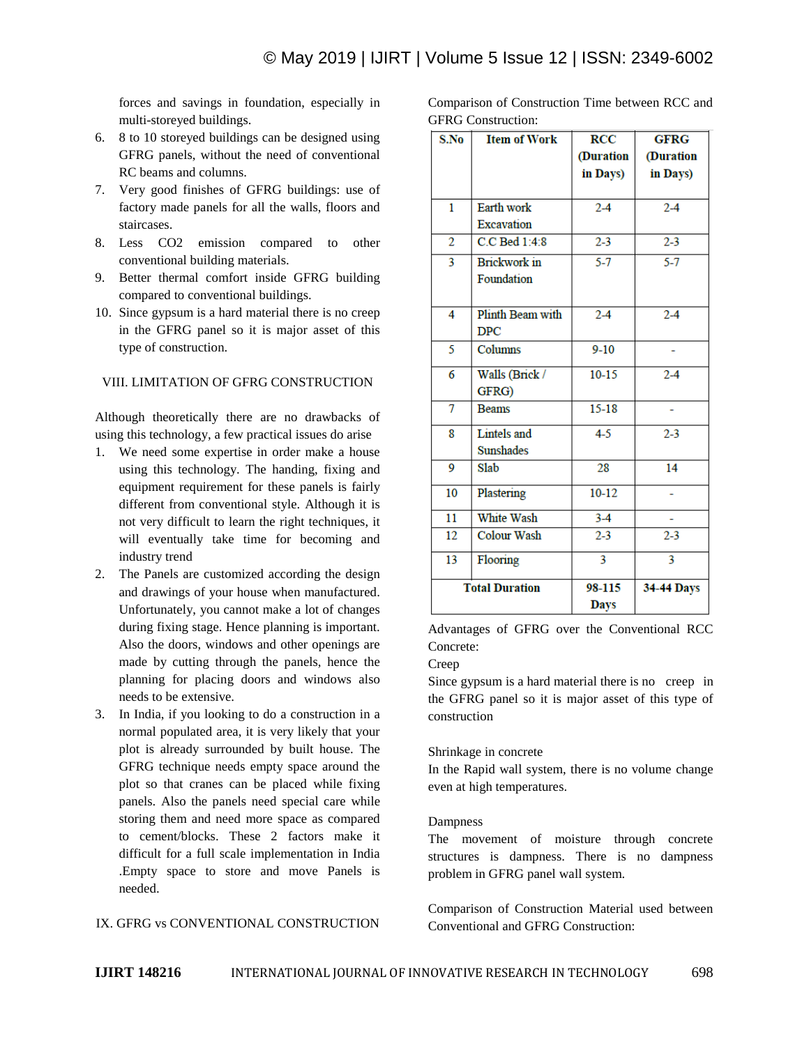forces and savings in foundation, especially in multi-storeyed buildings.

- 6. 8 to 10 storeyed buildings can be designed using GFRG panels, without the need of conventional RC beams and columns.
- 7. Very good finishes of GFRG buildings: use of factory made panels for all the walls, floors and staircases.
- 8. Less CO2 emission compared to other conventional building materials.
- 9. Better thermal comfort inside GFRG building compared to conventional buildings.
- 10. Since gypsum is a hard material there is no creep in the GFRG panel so it is major asset of this type of construction.

# VIII. LIMITATION OF GFRG CONSTRUCTION

Although theoretically there are no drawbacks of using this technology, a few practical issues do arise

- 1. We need some expertise in order make a house using this technology. The handing, fixing and equipment requirement for these panels is fairly different from conventional style. Although it is not very difficult to learn the right techniques, it will eventually take time for becoming and industry trend
- 2. The Panels are customized according the design and drawings of your house when manufactured. Unfortunately, you cannot make a lot of changes during fixing stage. Hence planning is important. Also the doors, windows and other openings are made by cutting through the panels, hence the planning for placing doors and windows also needs to be extensive.
- 3. In India, if you looking to do a construction in a normal populated area, it is very likely that your plot is already surrounded by built house. The GFRG technique needs empty space around the plot so that cranes can be placed while fixing panels. Also the panels need special care while storing them and need more space as compared to cement/blocks. These 2 factors make it difficult for a full scale implementation in India .Empty space to store and move Panels is needed.

## IX. GFRG vs CONVENTIONAL CONSTRUCTION

Comparison of Construction Time between RCC and GFRG Construction:

| S.No                  | <b>Item of Work</b> | <b>RCC</b>  | <b>GFRG</b>             |
|-----------------------|---------------------|-------------|-------------------------|
|                       |                     | (Duration   | (Duration               |
|                       |                     | in Days)    | in Days)                |
|                       |                     |             |                         |
| 1                     | Earth work          | $2 - 4$     | $2 - 4$                 |
|                       | <b>Excavation</b>   |             |                         |
| $\overline{2}$        | C.C Bed 1:4:8       | $2 - 3$     | $2 - 3$                 |
| 3                     | <b>Brickwork</b> in | $5 - 7$     | $5 - 7$                 |
|                       | Foundation          |             |                         |
|                       |                     |             |                         |
| 4                     | Plinth Beam with    | $2-4$       | $2-4$                   |
|                       | <b>DPC</b>          |             |                         |
| 5                     | Columns             | $9 - 10$    |                         |
| 6                     | Walls (Brick /      | $10-15$     | $2-4$                   |
|                       | GFRG)               |             |                         |
| 7                     | <b>Beams</b>        | $15 - 18$   |                         |
| 8                     | Lintels and         | $4 - 5$     | $2 - 3$                 |
|                       | Sunshades           |             |                         |
| 9                     | Slab                | 28          | 14                      |
| 10                    | Plastering          | $10-12$     |                         |
| $\overline{11}$       | White Wash          | $3-4$       |                         |
| 12                    | <b>Colour Wash</b>  | $2 - 3$     | $2 - 3$                 |
| 13                    | Flooring            | 3           | $\overline{\mathbf{3}}$ |
| <b>Total Duration</b> |                     | 98-115      | <b>34-44 Days</b>       |
|                       |                     | <b>Days</b> |                         |

Advantages of GFRG over the Conventional RCC Concrete:

#### Creep

Since gypsum is a hard material there is no creep in the GFRG panel so it is major asset of this type of construction

#### Shrinkage in concrete

In the Rapid wall system, there is no volume change even at high temperatures.

#### Dampness

The movement of moisture through concrete structures is dampness. There is no dampness problem in GFRG panel wall system.

Comparison of Construction Material used between Conventional and GFRG Construction: